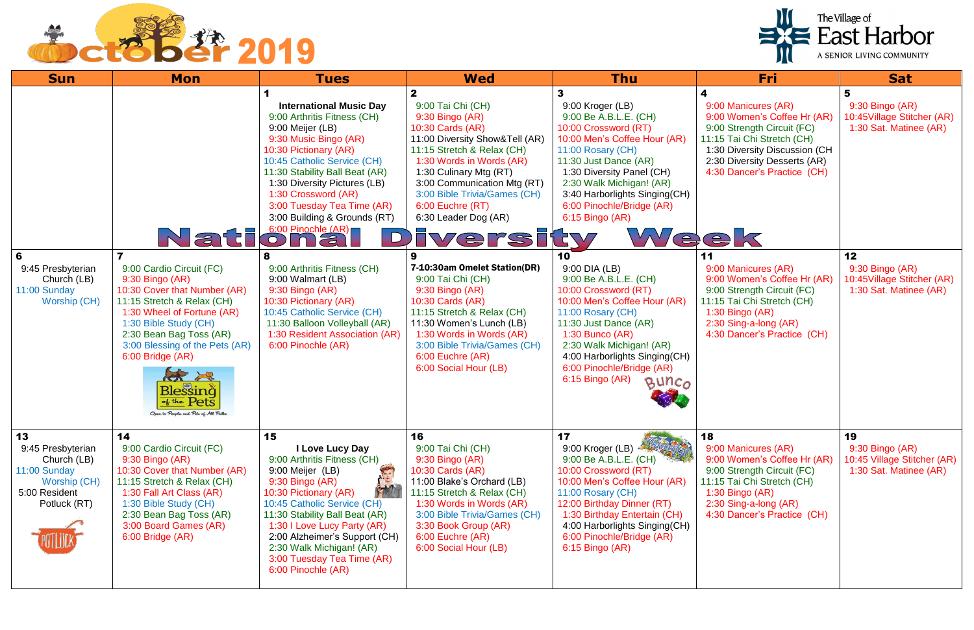

| <b>Sun</b>                                                                                              | <b>Mon</b>                                                                                                                                                                                                                                                                                                                   | <b>Tues</b>                                                                                                                                                                                                                                                                                                                                  | <b>Wed</b>                                                                                                                                                                                                                                                                                | <b>Thu</b>                                                                                                                                                                                                                                                                                                | Fri                                                                                                                                                                                                                 | <b>Sat</b>                                                                     |
|---------------------------------------------------------------------------------------------------------|------------------------------------------------------------------------------------------------------------------------------------------------------------------------------------------------------------------------------------------------------------------------------------------------------------------------------|----------------------------------------------------------------------------------------------------------------------------------------------------------------------------------------------------------------------------------------------------------------------------------------------------------------------------------------------|-------------------------------------------------------------------------------------------------------------------------------------------------------------------------------------------------------------------------------------------------------------------------------------------|-----------------------------------------------------------------------------------------------------------------------------------------------------------------------------------------------------------------------------------------------------------------------------------------------------------|---------------------------------------------------------------------------------------------------------------------------------------------------------------------------------------------------------------------|--------------------------------------------------------------------------------|
|                                                                                                         |                                                                                                                                                                                                                                                                                                                              | <b>International Music Day</b><br>9:00 Arthritis Fitness (CH)<br>9:00 Meijer (LB)<br>9:30 Music Bingo (AR)<br>10:30 Pictionary (AR)<br>10:45 Catholic Service (CH)<br>11:30 Stability Ball Beat (AR)<br>1:30 Diversity Pictures (LB)<br>1:30 Crossword (AR)<br>3:00 Tuesday Tea Time (AR)<br>3:00 Building & Grounds (RT)                    | 9:00 Tai Chi (CH)<br>9:30 Bingo (AR)<br>10:30 Cards (AR)<br>11:00 Diversity Show&Tell (AR)<br>11:15 Stretch & Relax (CH)<br>1:30 Words in Words (AR)<br>1:30 Culinary Mtg (RT)<br>3:00 Communication Mtg (RT)<br>3:00 Bible Trivia/Games (CH)<br>6:00 Euchre (RT)<br>6:30 Leader Dog (AR) | $\mathbf{3}$<br>9:00 Kroger (LB)<br>9:00 Be A.B.L.E. (CH)<br>10:00 Crossword (RT)<br>10:00 Men's Coffee Hour (AR)<br>11:00 Rosary (CH)<br>11:30 Just Dance (AR)<br>1:30 Diversity Panel (CH)<br>2:30 Walk Michigan! (AR)<br>3:40 Harborlights Singing(CH)<br>6:00 Pinochle/Bridge (AR)<br>6:15 Bingo (AR) | 4<br>9:00 Manicures (AR)<br>9:00 Women's Coffee Hr (AR)<br>9:00 Strength Circuit (FC)<br>11:15 Tai Chi Stretch (CH)<br>1:30 Diversity Discussion (CH<br>2:30 Diversity Desserts (AR)<br>4:30 Dancer's Practice (CH) | 5<br>9:30 Bingo (AR)<br>10:45Village Stitcher (AR)<br>1:30 Sat. Matinee (AR)   |
| 6<br>9:45 Presbyterian<br>Church (LB)<br>11:00 Sunday<br><b>Worship (CH)</b>                            | 9:00 Cardio Circuit (FC)<br>9:30 Bingo (AR)<br>10:30 Cover that Number (AR)<br>11:15 Stretch & Relax (CH)<br>1:30 Wheel of Fortune (AR)<br>1:30 Bible Study (CH)<br>2:30 Bean Bag Toss (AR)<br>3:00 Blessing of the Pets (AR)<br>6:00 Bridge (AR)<br>Blessing<br>$\frac{d}{dt}$ Pets<br>Open to People and Pets of All Faith | Nation and COLOR<br>$\Box$<br>9:00 Arthritis Fitness (CH)<br>9:00 Walmart (LB)<br>9:30 Bingo (AR)<br>10:30 Pictionary (AR)<br>10:45 Catholic Service (CH)<br>11:30 Balloon Volleyball (AR)<br>1:30 Resident Association (AR)<br>6:00 Pinochle (AR)                                                                                           | <b>Iversity</b><br>7-10:30am Omelet Station(DR)<br>9:00 Tai Chi (CH)<br>9:30 Bingo (AR)<br>10:30 Cards (AR)<br>11:15 Stretch & Relax (CH)<br>11:30 Women's Lunch (LB)<br>1:30 Words in Words (AR)<br>3:00 Bible Trivia/Games (CH)<br>6:00 Euchre (AR)<br>6:00 Social Hour (LB)            | Week<br>10<br>9:00 DIA (LB)<br>9:00 Be A.B.L.E. (CH)<br>10:00 Crossword (RT)<br>10:00 Men's Coffee Hour (AR)<br>11:00 Rosary (CH)<br>11:30 Just Dance (AR)<br>$1:30$ Bunco (AR)<br>2:30 Walk Michigan! (AR)<br>4:00 Harborlights Singing(CH)<br>6:00 Pinochle/Bridge (AR)<br>6:15 Bingo (AR)<br>BUNCO     | 11<br>9:00 Manicures (AR)<br>9:00 Women's Coffee Hr (AR)<br>9:00 Strength Circuit (FC)<br>11:15 Tai Chi Stretch (CH)<br>1:30 Bingo (AR)<br>2:30 Sing-a-long (AR)<br>4:30 Dancer's Practice (CH)                     | 12<br>9:30 Bingo (AR)<br>10:45Village Stitcher (AR)<br>1:30 Sat. Matinee (AR)  |
| 13<br>9:45 Presbyterian<br>Church (LB)<br>11:00 Sunday<br>Worship (CH)<br>5:00 Resident<br>Potluck (RT) | 14<br>9:00 Cardio Circuit (FC)<br>9:30 Bingo (AR)<br>10:30 Cover that Number (AR)<br>11:15 Stretch & Relax (CH)<br>1:30 Fall Art Class (AR)<br>1:30 Bible Study (CH)<br>2:30 Bean Bag Toss (AR)<br>3:00 Board Games (AR)<br>6:00 Bridge (AR)                                                                                 | 15<br>I Love Lucy Day<br>9:00 Arthritis Fitness (CH)<br>9:00 Meijer (LB)<br>一<br>$9:30$ Bingo (AR)<br>10:30 Pictionary (AR)<br>10:45 Catholic Service (CH)<br>11:30 Stability Ball Beat (AR)<br>1:30 I Love Lucy Party (AR)<br>2:00 Alzheimer's Support (CH)<br>2:30 Walk Michigan! (AR)<br>3:00 Tuesday Tea Time (AR)<br>6:00 Pinochle (AR) | 16<br>9:00 Tai Chi (CH)<br>9:30 Bingo (AR)<br>10:30 Cards (AR)<br>11:00 Blake's Orchard (LB)<br>11:15 Stretch & Relax (CH)<br>1:30 Words in Words (AR)<br>3:00 Bible Trivia/Games (CH)<br>3:30 Book Group (AR)<br>6:00 Euchre (AR)<br>6:00 Social Hour (LB)                               | 17<br>9:00 Kroger (LB)<br>9:00 Be A.B.L.E. (CH)<br>10:00 Crossword (RT)<br>10:00 Men's Coffee Hour (AR)<br>11:00 Rosary (CH)<br>12:00 Birthday Dinner (RT)<br>1:30 Birthday Entertain (CH)<br>4:00 Harborlights Singing(CH)<br>6:00 Pinochle/Bridge (AR)<br>6:15 Bingo (AR)                               | 18<br>9:00 Manicures (AR)<br>9:00 Women's Coffee Hr (AR)<br>9:00 Strength Circuit (FC)<br>11:15 Tai Chi Stretch (CH)<br>1:30 Bingo $(AR)$<br>2:30 Sing-a-long (AR)<br>4:30 Dancer's Practice (CH)                   | 19<br>9:30 Bingo (AR)<br>10:45 Village Stitcher (AR)<br>1:30 Sat. Matinee (AR) |

## The Village of<br>
East Harbor

A SENIOR LIVING COMMUNITY

| Fri                                                                                                                                                                                             | Sat                                                                                |
|-------------------------------------------------------------------------------------------------------------------------------------------------------------------------------------------------|------------------------------------------------------------------------------------|
| 00 Manicures (AR)<br>00 Women's Coffee Hr (AR)<br>00 Strength Circuit (FC)<br>15 Tai Chi Stretch (CH)<br>30 Diversity Discussion (CH<br>30 Diversity Desserts (AR)<br>30 Dancer's Practice (CH) | 5<br>$9:30$ Bingo $(AR)$<br>10:45Village Stitcher (AR)<br>1:30 Sat. Matinee (AR)   |
|                                                                                                                                                                                                 |                                                                                    |
| 00 Manicures (AR)<br>00 Women's Coffee Hr (AR)<br>00 Strength Circuit (FC)<br>15 Tai Chi Stretch (CH)<br>30 Bingo (AR)<br>30 Sing-a-long (AR)<br>30 Dancer's Practice (CH)                      | 12<br>$9:30$ Bingo $(AR)$<br>10:45Village Stitcher (AR)<br>1:30 Sat. Matinee (AR)  |
| 00 Manicures (AR)<br>00 Women's Coffee Hr (AR)<br>00 Strength Circuit (FC)<br>15 Tai Chi Stretch (CH)<br>30 Bingo (AR)<br>30 Sing-a-long (AR)<br>30 Dancer's Practice (CH)                      | 19<br>$9:30$ Bingo $(AR)$<br>10:45 Village Stitcher (AR)<br>1:30 Sat. Matinee (AR) |